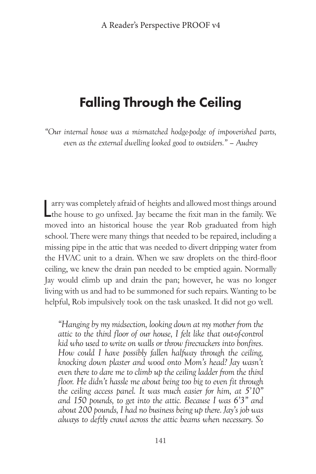## Falling Through the Ceiling

*"Our internal house was a mismatched hodge-podge of impoverished parts, even as the external dwelling looked good to outsiders." – Audrey*

arry was completely afraid of heights and allowed most things around the house to go unfixed. Jay became the fixit man in the family. We arry was completely afraid of heights and allowed most things around moved into an historical house the year Rob graduated from high school. There were many things that needed to be repaired, including a missing pipe in the attic that was needed to divert dripping water from the HVAC unit to a drain. When we saw droplets on the third-floor ceiling, we knew the drain pan needed to be emptied again. Normally Jay would climb up and drain the pan; however, he was no longer living with us and had to be summoned for such repairs. Wanting to be helpful, Rob impulsively took on the task unasked. It did not go well.

*"Hanging by my midsection, looking down at my mother from the attic to the third floor of our house, I felt like that out-of-control kid who used to write on walls or throw firecrackers into bonfires. How could I have possibly fallen halfway through the ceiling, knocking down plaster and wood onto Mom's head? Jay wasn't even there to dare me to climb up the ceiling ladder from the third floor. He didn't hassle me about being too big to even fit through the ceiling access panel. It was much easier for him, at 5'10" and 150 pounds, to get into the attic. Because I was 6'3" and about 200 pounds, I had no business being up there. Jay's job was always to deftly crawl across the attic beams when necessary. So*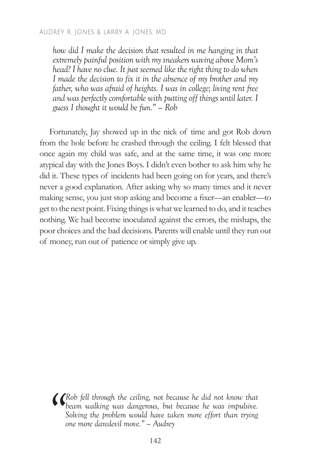## AUDREY R . JONES & LARRY A . JONES, MD

*how did I make the decision that resulted in me hanging in that extremely painful position with my sneakers waving above Mom's head? I have no clue. It just seemed like the right thing to do when I made the decision to fix it in the absence of my brother and my father, who was afraid of heights. I was in college; living rent free and was perfectly comfortable with putting off things until later. I guess I thought it would be fun." – Rob*

Fortunately, Jay showed up in the nick of time and got Rob down from the hole before he crashed through the ceiling. I felt blessed that once again my child was safe, and at the same time, it was one more atypical day with the Jones Boys. I didn't even bother to ask him why he did it. These types of incidents had been going on for years, and there's never a good explanation. After asking why so many times and it never making sense, you just stop asking and become a fixer—an enabler—to get to the next point. Fixing things is what we learned to do, and it teaches nothing. We had become inoculated against the errors, the mishaps, the poor choices and the bad decisions. Parents will enable until they run out of money, run out of patience or simply give up.

**(C**Rob fell through the ceiling, not because he did not know that beam walking was dangerous, but because he was impulsive. Solving the problem would have taken more effort than trying one more daredevil move." – Audrey *beam walking was dangerous, but because he was impulsive. Solving the problem would have taken more effort than trying one more daredevil move." – Audrey*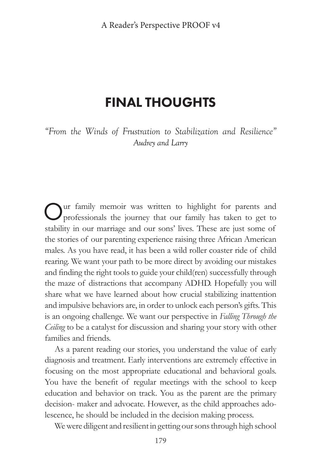## FINAL THOUGHTS

*"From the Winds of Frustration to Stabilization and Resilience" Audrey and Larry*

Our family memoir was written to highlight for parents and professionals the journey that our family has taken to get to stability in our marriage and our sons' lives. These are just some of the stories of our parenting experience raising three African American males. As you have read, it has been a wild roller coaster ride of child rearing. We want your path to be more direct by avoiding our mistakes and finding the right tools to guide your child(ren) successfully through the maze of distractions that accompany ADHD. Hopefully you will share what we have learned about how crucial stabilizing inattention and impulsive behaviors are, in order to unlock each person's gifts. This is an ongoing challenge. We want our perspective in *Falling Through the Ceiling* to be a catalyst for discussion and sharing your story with other families and friends.

As a parent reading our stories, you understand the value of early diagnosis and treatment. Early interventions are extremely effective in focusing on the most appropriate educational and behavioral goals. You have the benefit of regular meetings with the school to keep education and behavior on track. You as the parent are the primary decision- maker and advocate. However, as the child approaches adolescence, he should be included in the decision making process.

We were diligent and resilient in getting our sons through high school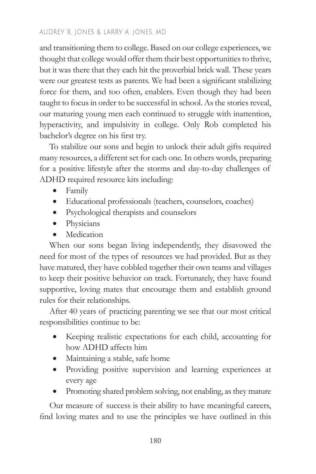## AUDREY R . JONES & LARRY A . JONES, MD

and transitioning them to college. Based on our college experiences, we thought that college would offer them their best opportunities to thrive, but it was there that they each hit the proverbial brick wall. These years were our greatest tests as parents. We had been a significant stabilizing force for them, and too often, enablers. Even though they had been taught to focus in order to be successful in school. As the stories reveal, our maturing young men each continued to struggle with inattention, hyperactivity, and impulsivity in college. Only Rob completed his bachelor's degree on his first try.

To stabilize our sons and begin to unlock their adult gifts required many resources, a different set for each one. In others words, preparing for a positive lifestyle after the storms and day-to-day challenges of ADHD required resource kits including:

- • Family
- • Educational professionals (teachers, counselors, coaches)
- Psychological therapists and counselors
- Physicians
- Medication

When our sons began living independently, they disavowed the need for most of the types of resources we had provided. But as they have matured, they have cobbled together their own teams and villages to keep their positive behavior on track. Fortunately, they have found supportive, loving mates that encourage them and establish ground rules for their relationships.

After 40 years of practicing parenting we see that our most critical responsibilities continue to be:

- Keeping realistic expectations for each child, accounting for how ADHD affects him
- Maintaining a stable, safe home
- • Providing positive supervision and learning experiences at every age
- Promoting shared problem solving, not enabling, as they mature

Our measure of success is their ability to have meaningful careers, find loving mates and to use the principles we have outlined in this